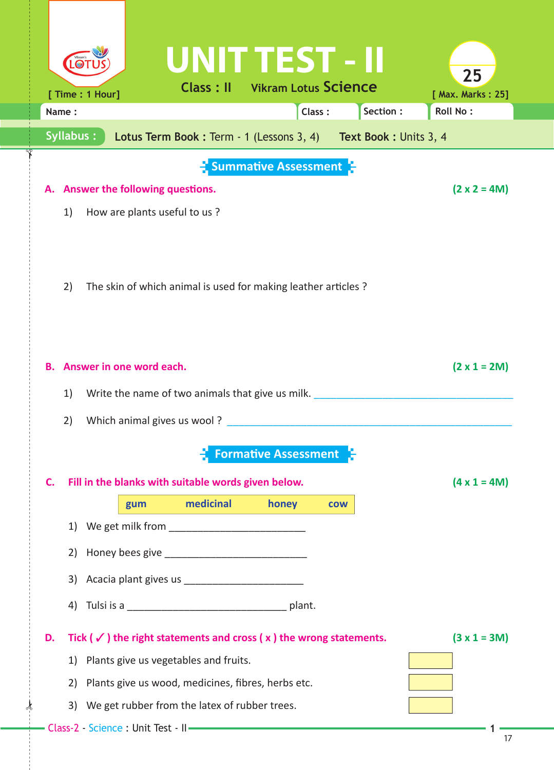| UNIT TEST - II                                                                                                                       | 25                          |  |  |  |  |  |  |
|--------------------------------------------------------------------------------------------------------------------------------------|-----------------------------|--|--|--|--|--|--|
| <b>Class: II</b> Vikram Lotus Science<br>[ Time : 1 Hour]                                                                            | [ Max. Marks: 25]           |  |  |  |  |  |  |
| Class:<br>Name:                                                                                                                      | Section:<br><b>Roll No:</b> |  |  |  |  |  |  |
| Syllabus:<br>Lotus Term Book: Term - 1 (Lessons 3, 4) Text Book: Units 3, 4                                                          |                             |  |  |  |  |  |  |
| $\frac{1}{2}$ Summative Assessment $\frac{1}{2}$                                                                                     |                             |  |  |  |  |  |  |
| Answer the following questions.                                                                                                      | $(2 \times 2 = 4M)$         |  |  |  |  |  |  |
| How are plants useful to us?<br>1)                                                                                                   |                             |  |  |  |  |  |  |
|                                                                                                                                      |                             |  |  |  |  |  |  |
|                                                                                                                                      |                             |  |  |  |  |  |  |
|                                                                                                                                      |                             |  |  |  |  |  |  |
| The skin of which animal is used for making leather articles ?<br>2)                                                                 |                             |  |  |  |  |  |  |
|                                                                                                                                      |                             |  |  |  |  |  |  |
|                                                                                                                                      |                             |  |  |  |  |  |  |
| Answer in one word each.<br><b>B.</b>                                                                                                | $(2 \times 1 = 2M)$         |  |  |  |  |  |  |
| Write the name of two animals that give us milk.<br>1)                                                                               |                             |  |  |  |  |  |  |
| Which animal gives us wool?<br>2)                                                                                                    |                             |  |  |  |  |  |  |
|                                                                                                                                      |                             |  |  |  |  |  |  |
| <b>Formative Assessment</b>                                                                                                          |                             |  |  |  |  |  |  |
| Fill in the blanks with suitable words given below.<br>C.                                                                            | $(4 \times 1 = 4M)$         |  |  |  |  |  |  |
| medicinal<br>honey<br>gum<br><b>COW</b>                                                                                              |                             |  |  |  |  |  |  |
| 1)                                                                                                                                   |                             |  |  |  |  |  |  |
| 2)                                                                                                                                   |                             |  |  |  |  |  |  |
| 3)                                                                                                                                   |                             |  |  |  |  |  |  |
|                                                                                                                                      |                             |  |  |  |  |  |  |
| 4)                                                                                                                                   |                             |  |  |  |  |  |  |
| Tick ( $\checkmark$ ) the right statements and cross ( $x$ ) the wrong statements.<br>D.                                             | $(3 x 1 = 3M)$              |  |  |  |  |  |  |
| Plants give us vegetables and fruits.<br>1)                                                                                          |                             |  |  |  |  |  |  |
| Plants give us wood, medicines, fibres, herbs etc.<br>2)                                                                             |                             |  |  |  |  |  |  |
| We get rubber from the latex of rubber trees.<br>3)                                                                                  |                             |  |  |  |  |  |  |
| Class-2 - Science : Unit Test - II - The Class-2 - Science : Unit Test - II - The Class-2 - Science : Unit Test - II - The Class - 2 |                             |  |  |  |  |  |  |